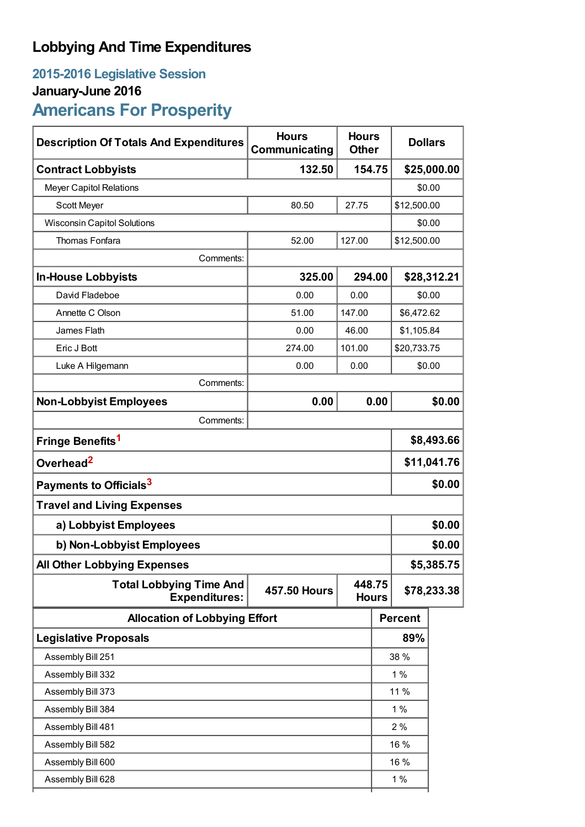# **Lobbying And Time Expenditures**

# **2015-2016 Legislative Session**

## **January-June 2016**

# **Americans For Prosperity**

| <b>Description Of Totals And Expenditures</b>          | <b>Hours</b><br>Communicating | <b>Hours</b><br><b>Other</b> |             | <b>Dollars</b> |             |  |
|--------------------------------------------------------|-------------------------------|------------------------------|-------------|----------------|-------------|--|
| <b>Contract Lobbyists</b>                              | 132.50                        |                              | 154.75      |                | \$25,000.00 |  |
| <b>Meyer Capitol Relations</b>                         |                               |                              |             | \$0.00         |             |  |
| Scott Meyer                                            | 80.50                         | 27.75                        |             | \$12,500.00    |             |  |
| <b>Wisconsin Capitol Solutions</b>                     |                               |                              |             | \$0.00         |             |  |
| Thomas Fonfara                                         | 52.00                         | 127.00                       | \$12,500.00 |                |             |  |
| Comments:                                              |                               |                              |             |                |             |  |
| <b>In-House Lobbyists</b>                              | 325.00                        | 294.00                       | \$28,312.21 |                |             |  |
| David Fladeboe                                         | 0.00                          | 0.00                         | \$0.00      |                |             |  |
| Annette C Olson                                        | 51.00                         | 147.00                       |             | \$6,472.62     |             |  |
| James Flath                                            | 0.00                          | 46.00                        | \$1,105.84  |                |             |  |
| Eric J Bott                                            | 274.00                        | 101.00                       |             | \$20,733.75    |             |  |
| Luke A Hilgemann                                       | 0.00                          | 0.00                         |             | \$0.00         |             |  |
| Comments:                                              |                               |                              |             |                |             |  |
| <b>Non-Lobbyist Employees</b>                          | 0.00                          |                              | 0.00        |                | \$0.00      |  |
| Comments:                                              |                               |                              |             |                |             |  |
| Fringe Benefits <sup>1</sup>                           |                               |                              |             | \$8,493.66     |             |  |
| Overhead <sup>2</sup>                                  |                               |                              |             | \$11,041.76    |             |  |
| Payments to Officials <sup>3</sup>                     |                               |                              |             | \$0.00         |             |  |
| <b>Travel and Living Expenses</b>                      |                               |                              |             |                |             |  |
| a) Lobbyist Employees                                  |                               |                              |             | \$0.00         |             |  |
| b) Non-Lobbyist Employees                              |                               |                              |             | \$0.00         |             |  |
| <b>All Other Lobbying Expenses</b>                     |                               |                              |             |                | \$5,385.75  |  |
| <b>Total Lobbying Time And</b><br><b>Expenditures:</b> | <b>457.50 Hours</b>           | 448.75<br><b>Hours</b>       |             | \$78,233.38    |             |  |
| <b>Allocation of Lobbying Effort</b>                   |                               |                              |             | <b>Percent</b> |             |  |
| <b>Legislative Proposals</b>                           |                               |                              |             | 89%            |             |  |
| Assembly Bill 251                                      |                               |                              |             | 38 %           |             |  |
| Assembly Bill 332                                      |                               |                              |             | 1%             |             |  |
| Assembly Bill 373                                      |                               |                              | 11 %        |                |             |  |
| Assembly Bill 384                                      |                               |                              | 1%          |                |             |  |
| Assembly Bill 481                                      |                               |                              |             | 2%             |             |  |
| Assembly Bill 582                                      |                               |                              |             | 16 %           |             |  |
| Assembly Bill 600                                      |                               |                              |             | 16 %           |             |  |
| Assembly Bill 628                                      |                               |                              |             | $1\%$          |             |  |